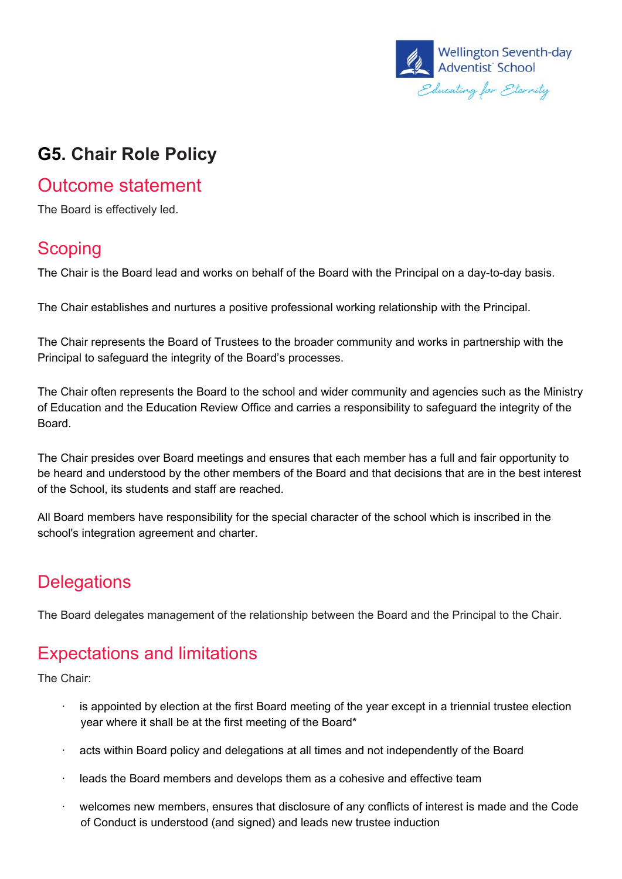

## **G5. Chair Role Policy**

#### Outcome statement

The Board is effectively led.

#### **Scoping**

The Chair is the Board lead and works on behalf of the Board with the Principal on a day-to-day basis.

The Chair establishes and nurtures a positive professional working relationship with the Principal.

The Chair represents the Board of Trustees to the broader community and works in partnership with the Principal to safeguard the integrity of the Board's processes.

The Chair often represents the Board to the school and wider community and agencies such as the Ministry of Education and the Education Review Office and carries a responsibility to safeguard the integrity of the Board.

The Chair presides over Board meetings and ensures that each member has a full and fair opportunity to be heard and understood by the other members of the Board and that decisions that are in the best interest of the School, its students and staff are reached.

All Board members have responsibility for the special character of the school which is inscribed in the school's integration agreement and charter.

## **Delegations**

The Board delegates management of the relationship between the Board and the Principal to the Chair.

## Expectations and limitations

The Chair:

- is appointed by election at the first Board meeting of the year except in a triennial trustee election year where it shall be at the first meeting of the Board\*
- acts within Board policy and delegations at all times and not independently of the Board
- · leads the Board members and develops them as a cohesive and effective team
- · welcomes new members, ensures that disclosure of any conflicts of interest is made and the Code of Conduct is understood (and signed) and leads new trustee induction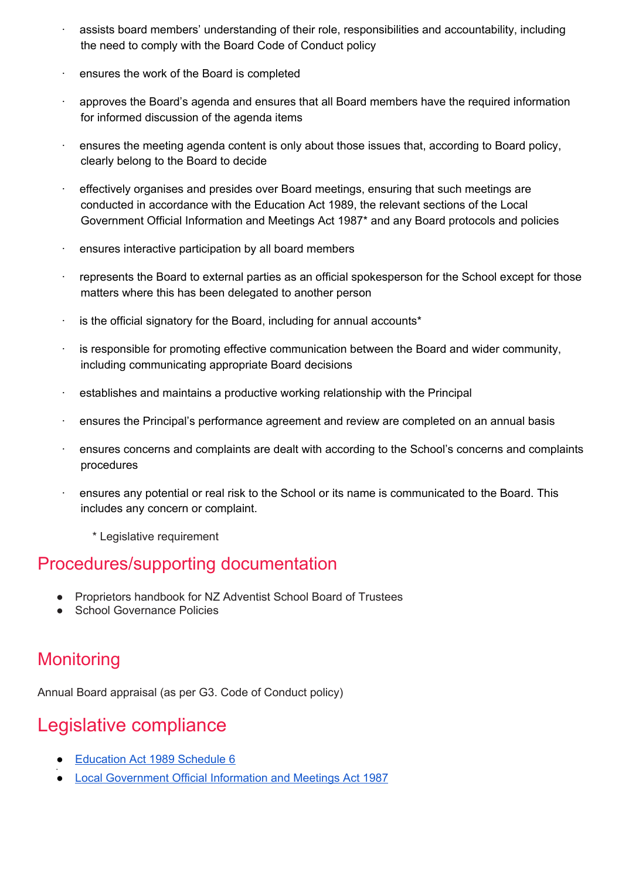- assists board members' understanding of their role, responsibilities and accountability, including the need to comply with the Board Code of Conduct policy
- ensures the work of the Board is completed
- · approves the Board's agenda and ensures that all Board members have the required information for informed discussion of the agenda items
- $\cdot$  ensures the meeting agenda content is only about those issues that, according to Board policy, clearly belong to the Board to decide
- · effectively organises and presides over Board meetings, ensuring that such meetings are conducted in accordance with the Education Act 1989, the relevant sections of the Local Government Official Information and Meetings Act 1987\* and any Board protocols and policies
- · ensures interactive participation by all board members
- · represents the Board to external parties as an official spokesperson for the School except for those matters where this has been delegated to another person
- $\cdot$  is the official signatory for the Board, including for annual accounts\*
- is responsible for promoting effective communication between the Board and wider community, including communicating appropriate Board decisions
- · establishes and maintains a productive working relationship with the Principal
- · ensures the Principal's performance agreement and review are completed on an annual basis
- ensures concerns and complaints are dealt with according to the School's concerns and complaints procedures
- · ensures any potential or real risk to the School or its name is communicated to the Board. This includes any concern or complaint.
	- \* Legislative requirement

#### Procedures/supporting documentation

- Proprietors handbook for NZ Adventist School Board of Trustees
- School Governance Policies

### **Monitoring**

Annual Board appraisal (as per G3. Code of Conduct policy)

### Legislative compliance

- **[Education](http://www.legislation.govt.nz/act/public/1989/0080/latest/DLM187901.html) Act 1989 Schedule 6**
- ● Local [Government](http://www.legislation.govt.nz/act/public/1987/0174/latest/DLM122242.html?src=qs) Official Information and Meetings Act 1987